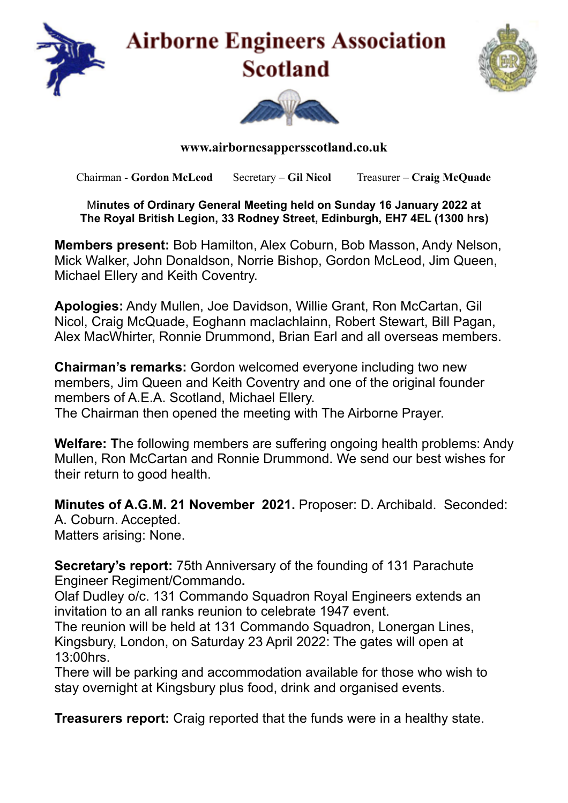

## **Airborne Engineers Association Scotland**





## **www.airbornesappersscotland.co.uk**

Chairman - **Gordon McLeod** Secretary – **Gil Nicol** Treasurer – **Craig McQuade**

## M**inutes of Ordinary General Meeting held on Sunday 16 January 2022 at The Royal British Legion, 33 Rodney Street, Edinburgh, EH7 4EL (1300 hrs)**

**Members present:** Bob Hamilton, Alex Coburn, Bob Masson, Andy Nelson, Mick Walker, John Donaldson, Norrie Bishop, Gordon McLeod, Jim Queen, Michael Ellery and Keith Coventry.

**Apologies:** Andy Mullen, Joe Davidson, Willie Grant, Ron McCartan, Gil Nicol, Craig McQuade, Eoghann maclachlainn, Robert Stewart, Bill Pagan, Alex MacWhirter, Ronnie Drummond, Brian Earl and all overseas members.

**Chairman's remarks:** Gordon welcomed everyone including two new members, Jim Queen and Keith Coventry and one of the original founder members of A.E.A. Scotland, Michael Ellery. The Chairman then opened the meeting with The Airborne Prayer.

**Welfare: T**he following members are suffering ongoing health problems: Andy Mullen, Ron McCartan and Ronnie Drummond. We send our best wishes for their return to good health.

**Minutes of A.G.M. 21 November 2021.** Proposer: D. Archibald. Seconded: A. Coburn. Accepted. Matters arising: None.

**Secretary's report:** 75th Anniversary of the founding of 131 Parachute Engineer Regiment/Commando**.** 

Olaf Dudley o/c. 131 Commando Squadron Royal Engineers extends an invitation to an all ranks reunion to celebrate 1947 event.

The reunion will be held at 131 Commando Squadron, Lonergan Lines, Kingsbury, London, on Saturday 23 April 2022: The gates will open at 13:00hrs.

There will be parking and accommodation available for those who wish to stay overnight at Kingsbury plus food, drink and organised events.

**Treasurers report:** Craig reported that the funds were in a healthy state.